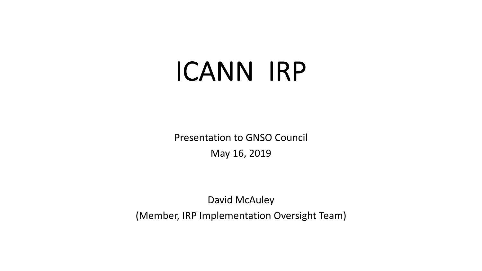## ICANN IRP

Presentation to GNSO Council May 16, 2019

David McAuley

(Member, IRP Implementation Oversight Team)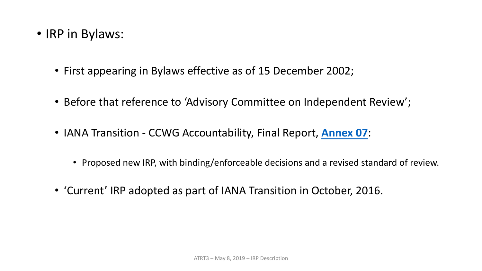- IRP in Bylaws:
	- First appearing in Bylaws effective as of 15 December 2002;
	- Before that reference to 'Advisory Committee on Independent Review';
	- IANA Transition CCWG Accountability, Final Report, **[Annex 07](https://community.icann.org/pages/viewpage.action?pageId=58723827&preview=/58723827/58726371/Annex%2007%20-%20FINAL-Revised.pdf)**:
		- Proposed new IRP, with binding/enforceable decisions and a revised standard of review.
	- 'Current' IRP adopted as part of IANA Transition in October, 2016.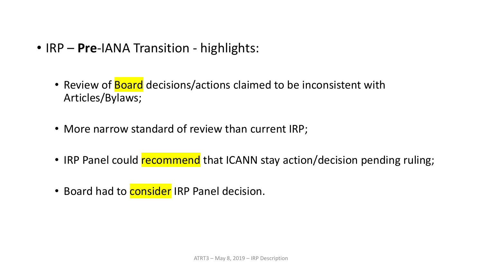- IRP **Pre**-IANA Transition highlights:
	- Review of **Board** decisions/actions claimed to be inconsistent with Articles/Bylaws;
	- More narrow standard of review than current IRP;
	- IRP Panel could recommend that ICANN stay action/decision pending ruling;
	- Board had to **consider** IRP Panel decision.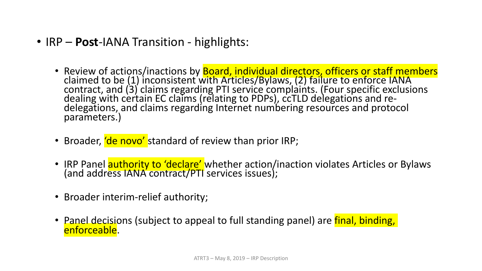- IRP **Post**-IANA Transition highlights:
	- Review of actions/inactions by **Board, individual directors, officers or staff members**<br>claimed to be (1) inconsistent with Articles/Bylaws, (2) failure to enforce IANA contract, and (3) claims regarding PTI service complaints. (Four specific exclusions dealing with certain EC claims (relating to PDPs), ccTLD delegations and re-<br>delegations, and claims regarding Internet numbering resources and protocol parameters.)
	- Broader, 'de novo' standard of review than prior IRP;
	- IRP Panel **authority to 'declare'** whether action/inaction violates Articles or Bylaws (and address IANA contract/PTI services issues);
	- Broader interim-relief authority;
	- Panel decisions (subject to appeal to full standing panel) are final, binding, enforceable.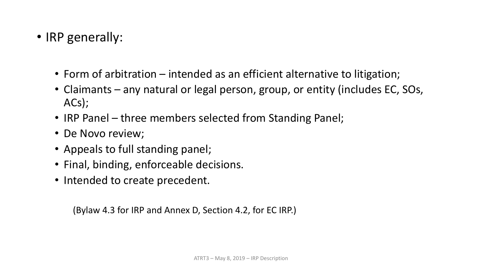- IRP generally:
	- Form of arbitration intended as an efficient alternative to litigation;
	- Claimants any natural or legal person, group, or entity (includes EC, SOs, ACs);
	- IRP Panel three members selected from Standing Panel;
	- De Novo review;
	- Appeals to full standing panel;
	- Final, binding, enforceable decisions.
	- Intended to create precedent.

(Bylaw 4.3 for IRP and Annex D, Section 4.2, for EC IRP.)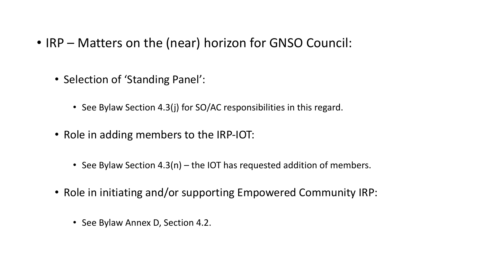- IRP Matters on the (near) horizon for GNSO Council:
	- Selection of 'Standing Panel':
		- See Bylaw Section 4.3(j) for SO/AC responsibilities in this regard.
	- Role in adding members to the IRP-IOT:
		- See Bylaw Section 4.3(n) the IOT has requested addition of members.
	- Role in initiating and/or supporting Empowered Community IRP:
		- See Bylaw Annex D, Section 4.2.